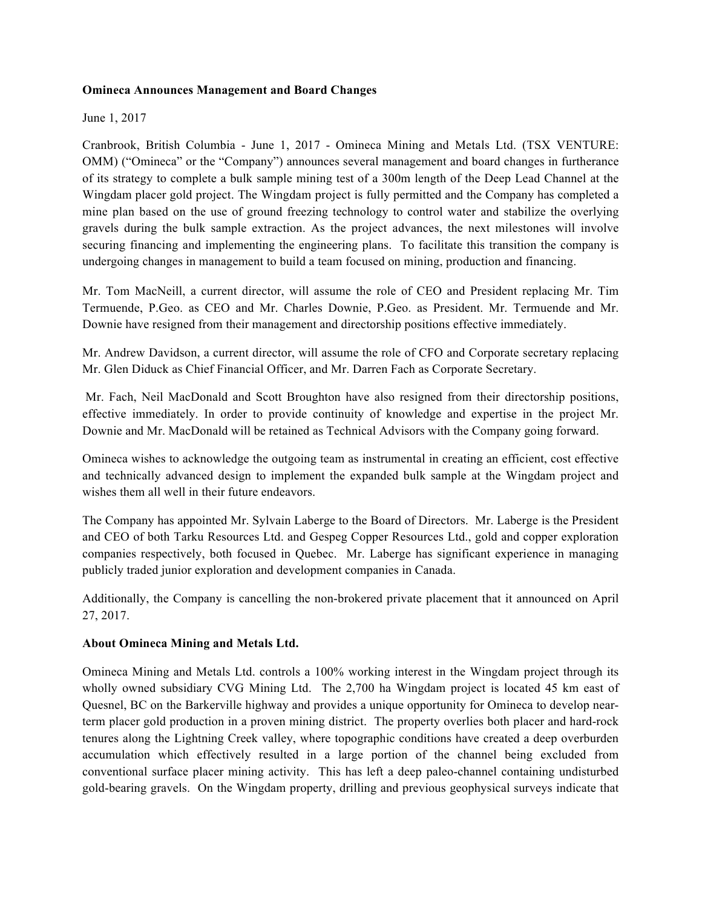## **Omineca Announces Management and Board Changes**

## June 1, 2017

Cranbrook, British Columbia - June 1, 2017 - Omineca Mining and Metals Ltd. (TSX VENTURE: OMM) ("Omineca" or the "Company") announces several management and board changes in furtherance of its strategy to complete a bulk sample mining test of a 300m length of the Deep Lead Channel at the Wingdam placer gold project. The Wingdam project is fully permitted and the Company has completed a mine plan based on the use of ground freezing technology to control water and stabilize the overlying gravels during the bulk sample extraction. As the project advances, the next milestones will involve securing financing and implementing the engineering plans. To facilitate this transition the company is undergoing changes in management to build a team focused on mining, production and financing.

Mr. Tom MacNeill, a current director, will assume the role of CEO and President replacing Mr. Tim Termuende, P.Geo. as CEO and Mr. Charles Downie, P.Geo. as President. Mr. Termuende and Mr. Downie have resigned from their management and directorship positions effective immediately.

Mr. Andrew Davidson, a current director, will assume the role of CFO and Corporate secretary replacing Mr. Glen Diduck as Chief Financial Officer, and Mr. Darren Fach as Corporate Secretary.

Mr. Fach, Neil MacDonald and Scott Broughton have also resigned from their directorship positions, effective immediately. In order to provide continuity of knowledge and expertise in the project Mr. Downie and Mr. MacDonald will be retained as Technical Advisors with the Company going forward.

Omineca wishes to acknowledge the outgoing team as instrumental in creating an efficient, cost effective and technically advanced design to implement the expanded bulk sample at the Wingdam project and wishes them all well in their future endeavors.

The Company has appointed Mr. Sylvain Laberge to the Board of Directors. Mr. Laberge is the President and CEO of both Tarku Resources Ltd. and Gespeg Copper Resources Ltd., gold and copper exploration companies respectively, both focused in Quebec. Mr. Laberge has significant experience in managing publicly traded junior exploration and development companies in Canada.

Additionally, the Company is cancelling the non-brokered private placement that it announced on April 27, 2017.

## **About Omineca Mining and Metals Ltd.**

Omineca Mining and Metals Ltd. controls a 100% working interest in the Wingdam project through its wholly owned subsidiary CVG Mining Ltd. The 2,700 ha Wingdam project is located 45 km east of Quesnel, BC on the Barkerville highway and provides a unique opportunity for Omineca to develop nearterm placer gold production in a proven mining district. The property overlies both placer and hard-rock tenures along the Lightning Creek valley, where topographic conditions have created a deep overburden accumulation which effectively resulted in a large portion of the channel being excluded from conventional surface placer mining activity. This has left a deep paleo-channel containing undisturbed gold-bearing gravels. On the Wingdam property, drilling and previous geophysical surveys indicate that